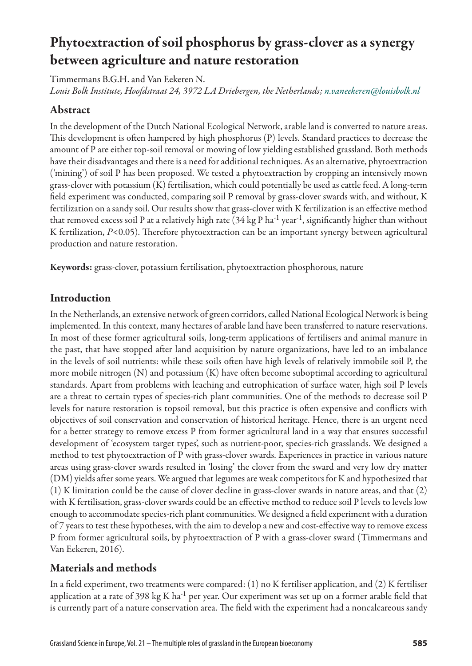# Phytoextraction of soil phosphorus by grass-clover as a synergy between agriculture and nature restoration

Timmermans B.G.H. and Van Eekeren N.

*Louis Bolk Institute, Hoofdstraat 24, 3972 LA Driebergen, the Netherlands; [n.vaneekeren@louisbolk.nl](mailto:n.vaneekeren@louisbolk.nl)*

# Abstract

In the development of the Dutch National Ecological Network, arable land is converted to nature areas. This development is often hampered by high phosphorus (P) levels. Standard practices to decrease the amount of P are either top-soil removal or mowing of low yielding established grassland. Both methods have their disadvantages and there is a need for additional techniques. As an alternative, phytoextraction ('mining') of soil P has been proposed. We tested a phytoextraction by cropping an intensively mown grass-clover with potassium (K) fertilisation, which could potentially be used as cattle feed. A long-term field experiment was conducted, comparing soil P removal by grass-clover swards with, and without, K fertilization on a sandy soil. Our results show that grass-clover with K fertilization is an effective method that removed excess soil P at a relatively high rate  $(34 \text{ kg P h}^{-1} \text{ year}^{-1},$  significantly higher than without K fertilization, *P*<0.05). Therefore phytoextraction can be an important synergy between agricultural production and nature restoration.

Keywords: grass-clover, potassium fertilisation, phytoextraction phosphorous, nature

# Introduction

In the Netherlands, an extensive network of green corridors, called National Ecological Network is being implemented. In this context, many hectares of arable land have been transferred to nature reservations. In most of these former agricultural soils, long-term applications of fertilisers and animal manure in the past, that have stopped after land acquisition by nature organizations, have led to an imbalance in the levels of soil nutrients: while these soils often have high levels of relatively immobile soil P, the more mobile nitrogen (N) and potassium (K) have often become suboptimal according to agricultural standards. Apart from problems with leaching and eutrophication of surface water, high soil P levels are a threat to certain types of species-rich plant communities. One of the methods to decrease soil P levels for nature restoration is topsoil removal, but this practice is often expensive and conflicts with objectives of soil conservation and conservation of historical heritage. Hence, there is an urgent need for a better strategy to remove excess P from former agricultural land in a way that ensures successful development of 'ecosystem target types', such as nutrient-poor, species-rich grasslands. We designed a method to test phytoextraction of P with grass-clover swards. Experiences in practice in various nature areas using grass-clover swards resulted in 'losing' the clover from the sward and very low dry matter (DM) yields after some years. We argued that legumes are weak competitors for K and hypothesized that (1) K limitation could be the cause of clover decline in grass-clover swards in nature areas, and that (2) with K fertilisation, grass-clover swards could be an effective method to reduce soil P levels to levels low enough to accommodate species-rich plant communities. We designed a field experiment with a duration of 7 years to test these hypotheses, with the aim to develop a new and cost-effective way to remove excess P from former agricultural soils, by phytoextraction of P with a grass-clover sward (Timmermans and Van Eekeren, 2016).

# Materials and methods

In a field experiment, two treatments were compared: (1) no K fertiliser application, and (2) K fertiliser application at a rate of 398 kg K ha<sup>-1</sup> per year. Our experiment was set up on a former arable field that is currently part of a nature conservation area. The field with the experiment had a noncalcareous sandy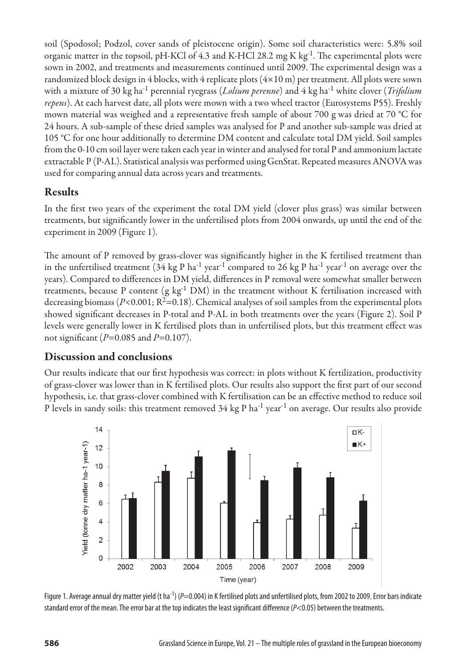soil (Spodosol; Podzol, cover sands of pleistocene origin). Some soil characteristics were: 5.8% soil organic matter in the topsoil, pH-KCl of 4.3 and K-HCl 28.2 mg K kg<sup>-1</sup>. The experimental plots were sown in 2002, and treatments and measurements continued until 2009. The experimental design was a randomized block design in 4 blocks, with 4 replicate plots  $(4\times10\,\text{m})$  per treatment. All plots were sown with a mixture of 30 kg ha-1 perennial ryegrass (*Lolium perenne*) and 4 kg ha-1 white clover (*Trifolium repens*). At each harvest date, all plots were mown with a two wheel tractor (Eurosystems P55). Freshly mown material was weighed and a representative fresh sample of about 700 g was dried at 70 °C for 24 hours. A sub-sample of these dried samples was analysed for P and another sub-sample was dried at 105 °C for one hour additionally to determine DM content and calculate total DM yield. Soil samples from the 0-10 cm soil layer were taken each year in winter and analysed for total P and ammonium lactate extractable P (P-AL). Statistical analysis was performed using GenStat. Repeated measures ANOVA was used for comparing annual data across years and treatments.

#### Results

In the first two years of the experiment the total DM yield (clover plus grass) was similar between treatments, but significantly lower in the unfertilised plots from 2004 onwards, up until the end of the experiment in 2009 (Figure 1).

The amount of P removed by grass-clover was significantly higher in the K fertilised treatment than in the unfertilised treatment (34 kg P ha<sup>-1</sup> year<sup>-1</sup> compared to 26 kg P ha<sup>-1</sup> year<sup>-1</sup> on average over the years). Compared to differences in DM yield, differences in P removal were somewhat smaller between treatments, because P content (g kg<sup>-1</sup> DM) in the treatment without K fertilisation increased with decreasing biomass ( $P<0.001$ ;  $R^2=0.18$ ). Chemical analyses of soil samples from the experimental plots showed significant decreases in P-total and P-AL in both treatments over the years (Figure 2). Soil P levels were generally lower in K fertilised plots than in unfertilised plots, but this treatment effect was not significant (*P*=0.085 and *P*=0.107).

## Discussion and conclusions

Our results indicate that our first hypothesis was correct: in plots without K fertilization, productivity of grass-clover was lower than in K fertilised plots. Our results also support the first part of our second hypothesis, i.e. that grass-clover combined with K fertilisation can be an effective method to reduce soil P levels in sandy soils: this treatment removed 34 kg P ha<sup>-1</sup> year<sup>-1</sup> on average. Our results also provide



Figure 1. Average annual dry matter yield (t ha<sup>-1</sup>) (*P*=0.004) in K fertilised plots and unfertilised plots, from 2002 to 2009. Error bars indicate standard error of the mean. The error bar at the top indicates the least significant difference (*P*<0.05) between the treatments.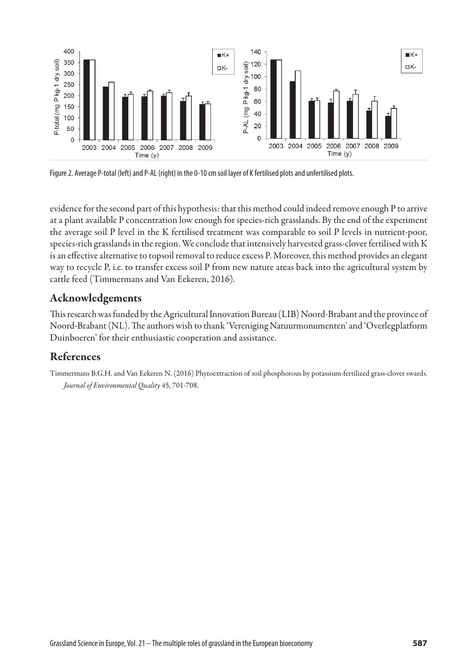

Figure 2. Average P-total (left) and P-AL (right) in the 0-10 cm soil layer of K fertilised plots and unfertilised plots.

evidence for the second part of this hypothesis: that this method could indeed remove enough P to arrive at a plant available P concentration low enough for species-rich grasslands. By the end of the experiment the average soil P level in the K fertilised treatment was comparable to soil P levels in nutrient-poor, species-rich grasslands in the region. We conclude that intensively harvested grass-clover fertilised with K is an effective alternative to topsoil removal to reduce excess P. Moreover, this method provides an elegant way to recycle P, i.e. to transfer excess soil P from new nature areas back into the agricultural system by cattle feed (Timmermans and Van Eekeren, 2016).

#### Acknowledgements

This research was funded by the Agricultural Innovation Bureau (LIB) Noord-Brabant and the province of Noord-Brabant (NL). The authors wish to thank 'Vereniging Natuurmonumenten' and 'Overlegplatform Duinboeren' for their enthusiastic cooperation and assistance.

## References

Timmermans B.G.H. and Van Eekeren N. (2016) Phytoextraction of soil phosphorous by potassium-fertilized grass-clover swards. *Journal of Environmental Quality* 45, 701-708.